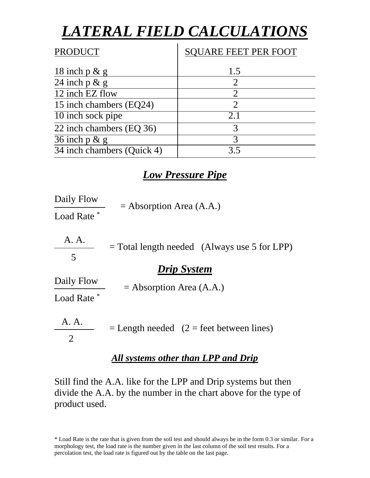# *LATERAL FIELD CALCULATIONS*

| <b>PRODUCT</b>             | <b>SQUARE FEET PER FOOT</b> |
|----------------------------|-----------------------------|
| 18 inch $p \& g$           | 1.5                         |
| 24 inch $p \& g$           | 2                           |
| 12 inch EZ flow            | $\mathcal{D}_{\cdot}$       |
| 15 inch chambers (EQ24)    | $\sum_{i=1}^{n}$            |
| 10 inch sock pipe          | 2.1                         |
| 22 inch chambers (EQ 36)   | 3                           |
| $\overline{36}$ inch p & g | 3                           |
| 34 inch chambers (Quick 4) | 35                          |

### *Low Pressure Pipe*

Daily Flow Load Rate<sup>\*</sup>  $=$  Absorption Area (A.A.)

 A. A. 5 *Drip System* = Total length needed (Always use 5 for LPP)

Daily Flow  $=$  Absorption Area (A.A.)

Load Rate

 A. A. 2  $=$  Length needed (2 = feet between lines)

#### *All systems other than LPP and Drip*

Still find the A.A. like for the LPP and Drip systems but then divide the A.A. by the number in the chart above for the type of product used.

<sup>\*</sup> Load Rate is the rate that is given from the soil test and should always be in the form 0.3 or similar. For a morphology test, the load rate is the number given in the last column of the soil test results. For a percolation test, the load rate is figured out by the table on the last page.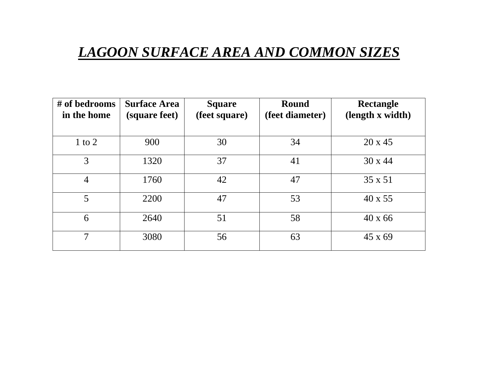## *LAGOON SURFACE AREA AND COMMON SIZES*

| # of bedrooms<br>in the home | <b>Surface Area</b><br>(square feet) | <b>Square</b><br>(feet square) | <b>Round</b><br>(feet diameter) | <b>Rectangle</b><br>(length x width) |
|------------------------------|--------------------------------------|--------------------------------|---------------------------------|--------------------------------------|
| $1$ to $2$                   | 900                                  | 30                             | 34                              | $20 \times 45$                       |
| 3                            | 1320                                 | 37                             | 41                              | $30 \times 44$                       |
| $\overline{4}$               | 1760                                 | 42                             | 47                              | 35 x 51                              |
| 5                            | 2200                                 | 47                             | 53                              | 40 x 55                              |
| 6                            | 2640                                 | 51                             | 58                              | $40 \times 66$                       |
| 7                            | 3080                                 | 56                             | 63                              | $45 \times 69$                       |